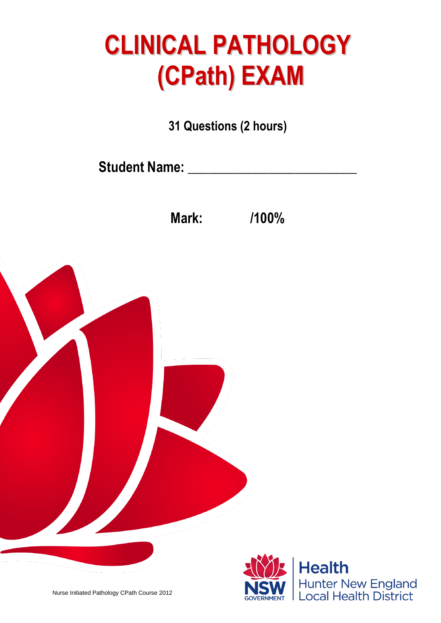## **CLINICAL PATHOLOGY (CPath) EXAM**

**31 Questions (2 hours)**

**Student Name: \_\_\_\_\_\_\_\_\_\_\_\_\_\_\_\_\_\_\_\_\_\_\_\_\_**

**Mark: /100%**



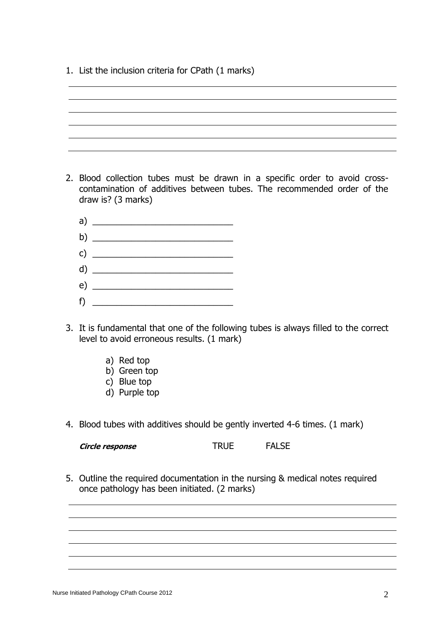1. List the inclusion criteria for CPath (1 marks)

- 2. Blood collection tubes must be drawn in a specific order to avoid crosscontamination of additives between tubes. The recommended order of the draw is? (3 marks)
	- a)  $\overline{a}$   $\overline{a}$   $\overline{a}$   $\overline{a}$   $\overline{a}$   $\overline{a}$   $\overline{a}$   $\overline{a}$   $\overline{a}$   $\overline{a}$   $\overline{a}$   $\overline{a}$   $\overline{a}$   $\overline{a}$   $\overline{a}$   $\overline{a}$   $\overline{a}$   $\overline{a}$   $\overline{a}$   $\overline{a}$   $\overline{a}$   $\overline{a}$   $\overline{a}$   $\overline{a}$   $\$ b) \_\_\_\_\_\_\_\_\_\_\_\_\_\_\_\_\_\_\_\_\_\_\_\_\_\_\_\_\_ c)  $\overline{\phantom{a}}$ d)  $\frac{1}{\sqrt{1-\frac{1}{2}}}\left( \frac{1}{\sqrt{1-\frac{1}{2}}}\right)$ e) \_\_\_\_\_\_\_\_\_\_\_\_\_\_\_\_\_\_\_\_\_\_\_\_\_\_\_\_\_ f) \_\_\_\_\_\_\_\_\_\_\_\_\_\_\_\_\_\_\_\_\_\_\_\_\_\_\_\_\_
- 3. It is fundamental that one of the following tubes is always filled to the correct level to avoid erroneous results. (1 mark)
	- a) Red top
	- b) Green top
	- c) Blue top
	- d) Purple top
- 4. Blood tubes with additives should be gently inverted 4-6 times. (1 mark)

**Circle response** TRUE FALSE

5. Outline the required documentation in the nursing & medical notes required once pathology has been initiated. (2 marks)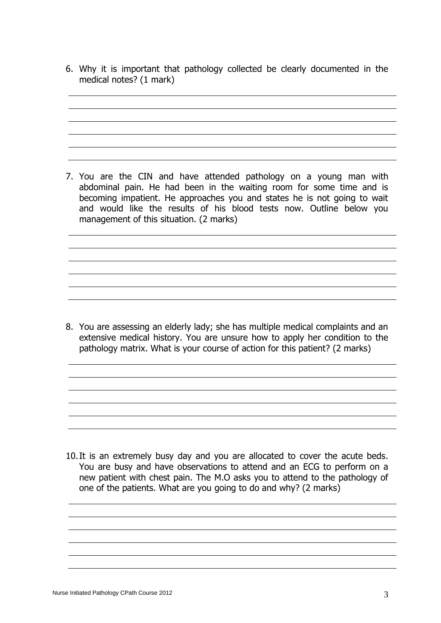6. Why it is important that pathology collected be clearly documented in the medical notes? (1 mark)

7. You are the CIN and have attended pathology on a young man with abdominal pain. He had been in the waiting room for some time and is becoming impatient. He approaches you and states he is not going to wait and would like the results of his blood tests now. Outline below you management of this situation. (2 marks)

8. You are assessing an elderly lady; she has multiple medical complaints and an extensive medical history. You are unsure how to apply her condition to the pathology matrix. What is your course of action for this patient? (2 marks)

10.It is an extremely busy day and you are allocated to cover the acute beds. You are busy and have observations to attend and an ECG to perform on a new patient with chest pain. The M.O asks you to attend to the pathology of one of the patients. What are you going to do and why? (2 marks)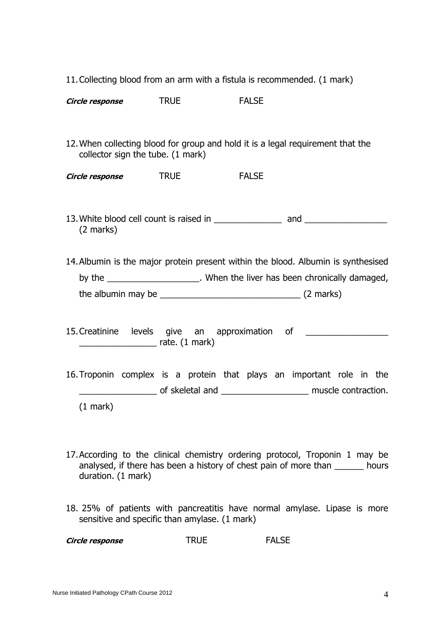|  |  |  | 11. Collecting blood from an arm with a fistula is recommended. (1 mark) |  |
|--|--|--|--------------------------------------------------------------------------|--|
|--|--|--|--------------------------------------------------------------------------|--|

**Circle response** TRUE FALSE

12.When collecting blood for group and hold it is a legal requirement that the collector sign the tube. (1 mark)

**Circle response** TRUE FALSE

- 13.White blood cell count is raised in \_\_\_\_\_\_\_\_\_\_\_\_\_\_ and \_\_\_\_\_\_\_\_\_\_\_\_\_\_\_\_\_ (2 marks)
- 14.Albumin is the major protein present within the blood. Albumin is synthesised by the \_\_\_\_\_\_\_\_\_\_\_\_\_\_\_\_\_\_\_\_. When the liver has been chronically damaged, the albumin may be \_\_\_\_\_\_\_\_\_\_\_\_\_\_\_\_\_\_\_\_\_\_\_\_\_\_\_\_\_ (2 marks)
- 15. Creatinine levels give an approximation of  $r = 1$  mark)
- 16.Troponin complex is a protein that plays an important role in the \_\_\_\_\_\_\_\_\_\_\_\_\_\_\_\_ of skeletal and \_\_\_\_\_\_\_\_\_\_\_\_\_\_\_\_\_\_ muscle contraction. (1 mark)
- 17.According to the clinical chemistry ordering protocol, Troponin 1 may be analysed, if there has been a history of chest pain of more than \_\_\_\_\_\_ hours duration. (1 mark)
- 18. 25% of patients with pancreatitis have normal amylase. Lipase is more sensitive and specific than amylase. (1 mark)

| Circle response | <b>TRUE</b> | <b>FALSE</b> |
|-----------------|-------------|--------------|
|-----------------|-------------|--------------|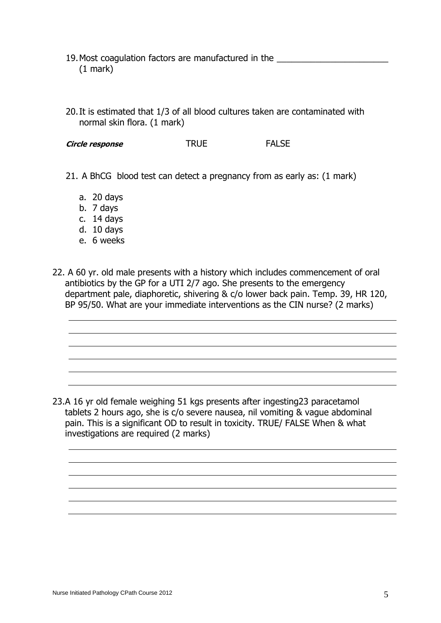- 19.Most coagulation factors are manufactured in the \_\_\_\_\_\_\_\_\_\_\_\_\_\_\_\_\_\_\_\_\_\_\_ (1 mark)
- 20.It is estimated that 1/3 of all blood cultures taken are contaminated with normal skin flora. (1 mark)

**Circle response** TRUE FALSE

- 21. A BhCG blood test can detect a pregnancy from as early as: (1 mark)
	- a. 20 days
	- b. 7 days
	- c. 14 days
	- d. 10 days
	- e. 6 weeks
- 22. A 60 yr. old male presents with a history which includes commencement of oral antibiotics by the GP for a UTI 2/7 ago. She presents to the emergency department pale, diaphoretic, shivering & c/o lower back pain. Temp. 39, HR 120, BP 95/50. What are your immediate interventions as the CIN nurse? (2 marks)

23.A 16 yr old female weighing 51 kgs presents after ingesting23 paracetamol tablets 2 hours ago, she is c/o severe nausea, nil vomiting & vague abdominal pain. This is a significant OD to result in toxicity. TRUE/ FALSE When & what investigations are required (2 marks)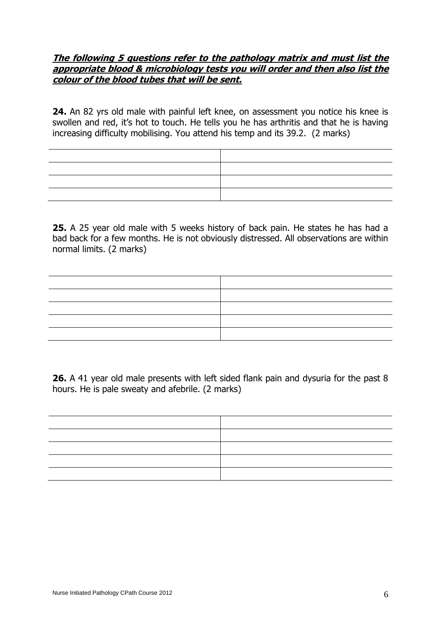## **The following 5 questions refer to the pathology matrix and must list the appropriate blood & microbiology tests you will order and then also list the colour of the blood tubes that will be sent.**

**24.** An 82 yrs old male with painful left knee, on assessment you notice his knee is swollen and red, it's hot to touch. He tells you he has arthritis and that he is having increasing difficulty mobilising. You attend his temp and its 39.2. (2 marks)

**25.** A 25 year old male with 5 weeks history of back pain. He states he has had a bad back for a few months. He is not obviously distressed. All observations are within normal limits. (2 marks)



**26.** A 41 year old male presents with left sided flank pain and dysuria for the past 8 hours. He is pale sweaty and afebrile. (2 marks)

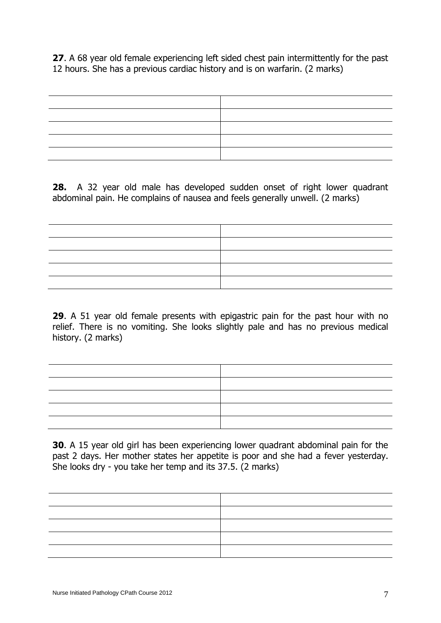**27**. A 68 year old female experiencing left sided chest pain intermittently for the past 12 hours. She has a previous cardiac history and is on warfarin. (2 marks)

**28.** A 32 year old male has developed sudden onset of right lower quadrant abdominal pain. He complains of nausea and feels generally unwell. (2 marks)



**29**. A 51 year old female presents with epigastric pain for the past hour with no relief. There is no vomiting. She looks slightly pale and has no previous medical history. (2 marks)

**30**. A 15 year old girl has been experiencing lower quadrant abdominal pain for the past 2 days. Her mother states her appetite is poor and she had a fever yesterday. She looks dry - you take her temp and its 37.5. (2 marks)